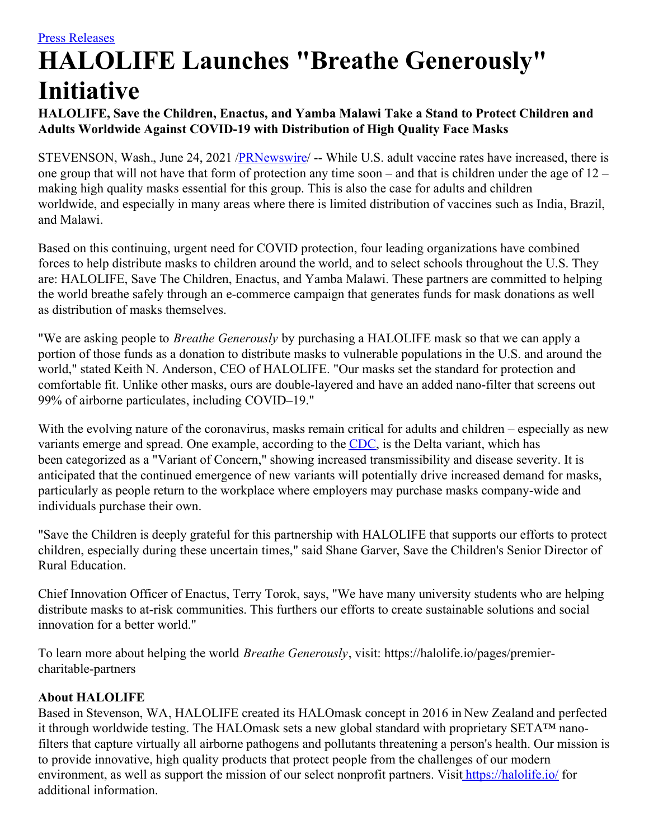## **HALOLIFE Launches "Breathe Generously" Initiative**

## **HALOLIFE, Save the Children, Enactus, and Yamba Malawi Take a Stand to Protect Children and Adults Worldwide Against COVID-19 with Distribution of High Quality Face Masks**

STEVENSON, Wash., June 24, 2021 [/PRNewswire](http://www.prnewswire.com/)/ -- While U.S. adult vaccine rates have increased, there is one group that will not have that form of protection any time soon – and that is children under the age of 12 – making high quality masks essential for this group. This is also the case for adults and children worldwide, and especially in many areas where there is limited distribution of vaccines such as India, Brazil, and Malawi.

Based on this continuing, urgent need for COVID protection, four leading organizations have combined forces to help distribute masks to children around the world, and to select schools throughout the U.S. They are: HALOLIFE, Save The Children, Enactus, and Yamba Malawi. These partners are committed to helping the world breathe safely through an e-commerce campaign that generates funds for mask donations as well as distribution of masks themselves.

"We are asking people to *Breathe Generously* by purchasing a HALOLIFE mask so that we can apply a portion of those funds as a donation to distribute masks to vulnerable populations in the U.S. and around the world," stated Keith N. Anderson, CEO of HALOLIFE. "Our masks set the standard for protection and comfortable fit. Unlike other masks, ours are double-layered and have an added nano-filter that screens out 99% of airborne particulates, including COVID–19."

With the evolving nature of the coronavirus, masks remain critical for adults and children – especially as new variants emerge and spread. One example, according to the [CDC](https://c212.net/c/link/?t=0&l=en&o=3208041-1&h=1359985634&u=https%3A%2F%2Fwww.cdc.gov%2Fcoronavirus%2F2019-ncov%2Fvariants%2Fvariant-info.html&a=CDC), is the Delta variant, which has been categorized as a "Variant of Concern," showing increased transmissibility and disease severity. It is anticipated that the continued emergence of new variants will potentially drive increased demand for masks, particularly as people return to the workplace where employers may purchase masks company-wide and individuals purchase their own.

"Save the Children is deeply grateful for this partnership with HALOLIFE that supports our efforts to protect children, especially during these uncertain times," said Shane Garver, Save the Children's Senior Director of Rural Education.

Chief Innovation Officer of Enactus, Terry Torok, says, "We have many university students who are helping distribute masks to at-risk communities. This furthers our efforts to create sustainable solutions and social innovation for a better world."

To learn more about helping the world *Breathe Generously*, visit: https://halolife.io/pages/premiercharitable-partners

## **About HALOLIFE**

Based in Stevenson, WA, HALOLIFE created its HALOmask concept in 2016 in New Zealand and perfected it through worldwide testing. The HALOmask sets a new global standard with proprietary SETA™ nanofilters that capture virtually all airborne pathogens and pollutants threatening a person's health. Our mission is to provide innovative, high quality products that protect people from the challenges of our modern environment, as well as support the mission of our select nonprofit partners. Visit [https://halolife.io/](https://c212.net/c/link/?t=0&l=en&o=3208041-1&h=1380023603&u=https%3A%2F%2Fhalolife.io%2F&a=%C2%A0https%3A%2F%2Fhalolife.io%2F) for additional information.